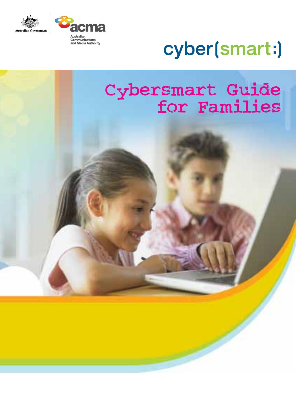

## cyber(smart:)

# Cybersmart Guide for Families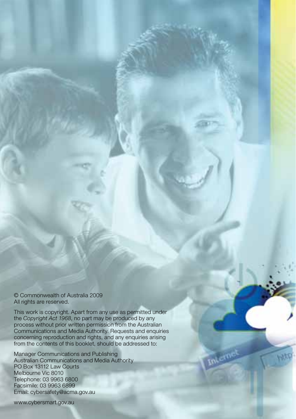© Commonwealth of Australia 2009 All rights are reserved.

This work is copyright. Apart from any use as permitted under the *Copyright Act 1968*, no part may be produced by any process without prior written permission from the Australian Communications and Media Authority. Requests and enquiries concerning reproduction and rights, and any enquiries arising from the contents of this booklet, should be addressed to:

Internet

Manager Communications and Publishing Australian Communications and Media Authority PO Box 13112 Law Courts Melbourne Vic 8010 Telephone: 03 9963 6800 Facsimile: 03 9963 6899 Email: cybersafety@acma.gov.au

www.cybersmart.gov.au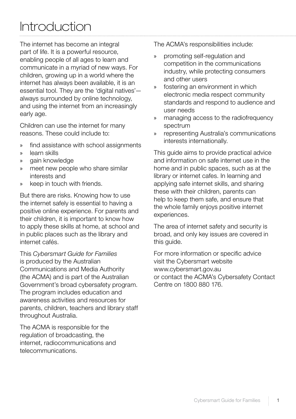### Introduction

The internet has become an integral part of life. It is a powerful resource, enabling people of all ages to learn and communicate in a myriad of new ways. For children, growing up in a world where the internet has always been available, it is an essential tool. They are the 'digital natives' always surrounded by online technology, and using the internet from an increasingly early age.

Children can use the internet for many reasons. These could include to:

- » find assistance with school assignments
- » learn skills
- » gain knowledge
- » meet new people who share similar interests and
- » keep in touch with friends.

But there are risks. Knowing how to use the internet safely is essential to having a positive online experience. For parents and their children, it is important to know how to apply these skills at home, at school and in public places such as the library and internet cafés.

This *Cybersmart Guide for Families* is produced by the Australian Communications and Media Authority (the ACMA) and is part of the Australian Government's broad cybersafety program. The program includes education and awareness activities and resources for parents, children, teachers and library staff throughout Australia.

The ACMA is responsible for the regulation of broadcasting, the internet, radiocommunications and telecommunications.

The ACMA's responsibilities include:

- » promoting self-regulation and competition in the communications industry, while protecting consumers and other users
- » fostering an environment in which electronic media respect community standards and respond to audience and user needs
- » managing access to the radiofrequency spectrum
- » representing Australia's communications interests internationally.

This guide aims to provide practical advice and information on safe internet use in the home and in public spaces, such as at the library or internet cafes. In learning and applying safe internet skills, and sharing these with their children, parents can help to keep them safe, and ensure that the whole family enjoys positive internet experiences.

The area of internet safety and security is broad, and only key issues are covered in this guide.

For more information or specific advice visit the Cybersmart website www.cybersmart.gov.au or contact the ACMA's Cybersafety Contact Centre on 1800 880 176.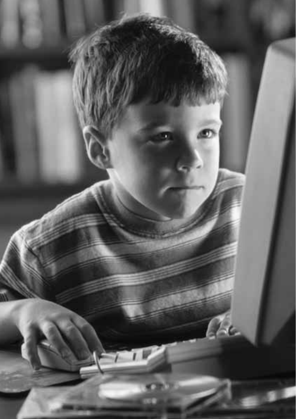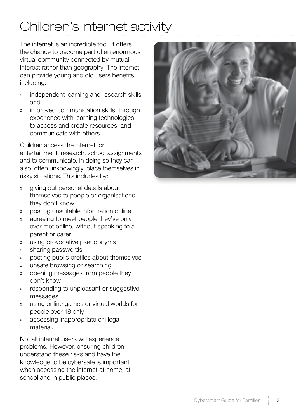### Children's internet activity

The internet is an incredible tool. It offers the chance to become part of an enormous virtual community connected by mutual interest rather than geography. The internet can provide young and old users benefits, including:

- » independent learning and research skills and
- » improved communication skills, through experience with learning technologies to access and create resources, and communicate with others.

Children access the internet for

entertainment, research, school assignments and to communicate. In doing so they can also, often unknowingly, place themselves in risky situations. This includes by:

- » giving out personal details about themselves to people or organisations they don't know
- » posting unsuitable information online
- » agreeing to meet people they've only ever met online, without speaking to a parent or carer
- » using provocative pseudonyms
- » sharing passwords
- » posting public profiles about themselves
- » unsafe browsing or searching
- » opening messages from people they don't know
- » responding to unpleasant or suggestive messages
- » using online games or virtual worlds for people over 18 only
- » accessing inappropriate or illegal material.

Not all internet users will experience problems. However, ensuring children understand these risks and have the knowledge to be cybersafe is important when accessing the internet at home, at school and in public places.

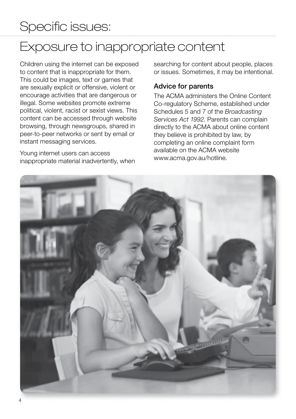### Exposure to inappropriate content

Children using the internet can be exposed to content that is inappropriate for them. This could be images, text or games that are sexually explicit or offensive, violent or encourage activities that are dangerous or illegal. Some websites promote extreme political, violent, racist or sexist views. This content can be accessed through website browsing, through newsgroups, shared in peer-to-peer networks or sent by email or instant messaging services.

Young internet users can access inappropriate material inadvertently, when searching for content about people, places or issues. Sometimes, it may be intentional.

#### Advice for parents

The ACMA administers the Online Content Co-regulatory Scheme, established under Schedules 5 and 7 of the *Broadcasting Services Act 1992*. Parents can complain directly to the ACMA about online content they believe is prohibited by law, by completing an online complaint form available on the ACMA website www.acma.gov.au/hotline.

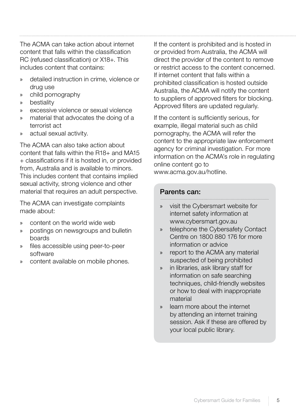The ACMA can take action about internet content that falls within the classification RC (refused classification) or X18+. This includes content that contains:

- » detailed instruction in crime, violence or drug use
- » child pornography
- » bestiality
- » excessive violence or sexual violence
- » material that advocates the doing of a terrorist act
- » actual sexual activity.

The ACMA can also take action about content that falls within the R18+ and MA15 + classifications if it is hosted in, or provided from, Australia and is available to minors. This includes content that contains implied sexual activity, strong violence and other material that requires an adult perspective.

The ACMA can investigate complaints made about:

- » content on the world wide web
- » postings on newsgroups and bulletin boards
- » files accessible using peer-to-peer software
- » content available on mobile phones.

If the content is prohibited and is hosted in or provided from Australia, the ACMA will direct the provider of the content to remove or restrict access to the content concerned. If internet content that falls within a prohibited classification is hosted outside Australia, the ACMA will notify the content to suppliers of approved filters for blocking. Approved filters are updated regularly.

If the content is sufficiently serious, for example, illegal material such as child pornography, the ACMA will refer the content to the appropriate law enforcement agency for criminal investigation. For more information on the ACMA's role in regulating online content go to www.acma.gov.au/hotline.

- » visit the Cybersmart website for internet safety information at www.cybersmart.gov.au
- » telephone the Cybersafety Contact Centre on 1800 880 176 for more information or advice
- » report to the ACMA any material suspected of being prohibited
- » in libraries, ask library staff for information on safe searching techniques, child-friendly websites or how to deal with inappropriate material
- » learn more about the internet by attending an internet training session. Ask if these are offered by your local public library.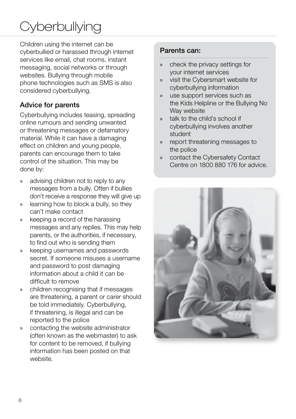### **Cyberbullying**

Children using the internet can be cyberbullied or harassed through internet services like email, chat rooms, instant messaging, social networks or through websites. Bullying through mobile phone technologies such as SMS is also considered cyberbullying.

#### Advice for parents

Cyberbullying includes teasing, spreading online rumours and sending unwanted or threatening messages or defamatory material. While it can have a damaging effect on children and young people, parents can encourage them to take control of the situation. This may be done by:

- » advising children not to reply to any messages from a bully. Often if bullies don't receive a response they will give up
- » learning how to block a bully, so they can't make contact
- » keeping a record of the harassing messages and any replies. This may help parents, or the authorities, if necessary, to find out who is sending them
- » keeping usernames and passwords secret. If someone misuses a username and password to post damaging information about a child it can be difficult to remove
- » children recognising that if messages are threatening, a parent or carer should be told immediately. Cyberbullying, if threatening, is illegal and can be reported to the police
- » contacting the website administrator (often known as the webmaster) to ask for content to be removed, if bullying information has been posted on that website.

- » check the privacy settings for your internet services
- » visit the Cybersmart website for cyberbullying information
- » use support services such as the Kids Helpline or the Bullying No Way website
- » talk to the child's school if cyberbullying involves another student
- » report threatening messages to the police
- » contact the Cybersafety Contact Centre on 1800 880 176 for advice.

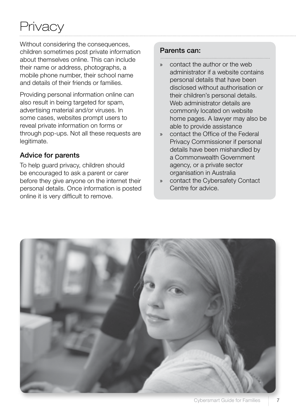### **Privacy**

Without considering the consequences, children sometimes post private information about themselves online. This can include their name or address, photographs, a mobile phone number, their school name and details of their friends or families.

Providing personal information online can also result in being targeted for spam, advertising material and/or viruses. In some cases, websites prompt users to reveal private information on forms or through pop-ups. Not all these requests are legitimate.

#### Advice for parents

To help guard privacy, children should be encouraged to ask a parent or carer before they give anyone on the internet their personal details. Once information is posted online it is very difficult to remove.

- » contact the author or the web administrator if a website contains personal details that have been disclosed without authorisation or their children's personal details. Web administrator details are commonly located on website home pages. A lawyer may also be able to provide assistance
- » contact the Office of the Federal Privacy Commissioner if personal details have been mishandled by a Commonwealth Government agency, or a private sector organisation in Australia
- » contact the Cybersafety Contact Centre for advice.

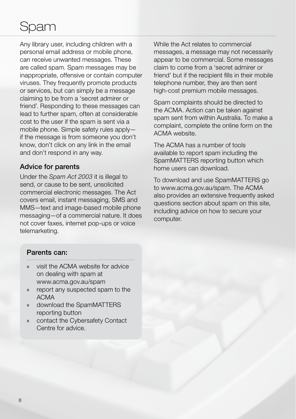### Spam

Any library user, including children with a personal email address or mobile phone, can receive unwanted messages. These are called spam. Spam messages may be inappropriate, offensive or contain computer viruses. They frequently promote products or services, but can simply be a message claiming to be from a 'secret admirer or friend'. Responding to these messages can lead to further spam, often at considerable cost to the user if the spam is sent via a mobile phone. Simple safety rules apply if the message is from someone you don't know, don't click on any link in the email and don't respond in any way.

#### Advice for parents

Under the *Spam Act 2003* it is illegal to send, or cause to be sent, unsolicited commercial electronic messages. The Act covers email, instant messaging, SMS and MMS—text and image-based mobile phone messaging—of a commercial nature. It does not cover faxes, internet pop-ups or voice telemarketing.

While the Act relates to commercial messages, a message may not necessarily appear to be commercial. Some messages claim to come from a 'secret admirer or friend' but if the recipient fills in their mobile telephone number, they are then sent high-cost premium mobile messages.

Spam complaints should be directed to the ACMA. Action can be taken against spam sent from within Australia. To make a complaint, complete the online form on the ACMA website.

The ACMA has a number of tools available to report spam including the SpamMATTERS reporting button which home users can download.

To download and use SpamMATTERS go to www.acma.gov.au/spam. The ACMA also provides an extensive frequently asked questions section about spam on this site, including advice on how to secure your computer.

- » visit the ACMA website for advice on dealing with spam at www.acma.gov.au/spam
- » report any suspected spam to the ACMA
- » download the SpamMATTERS reporting button
- contact the Cybersafety Contact Centre for advice.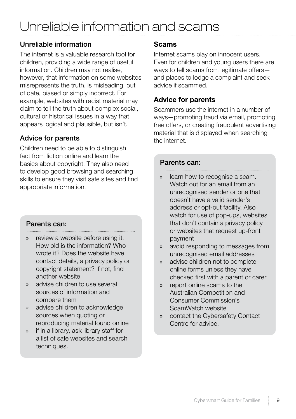#### Unreliable information

The internet is a valuable research tool for children, providing a wide range of useful information. Children may not realise, however, that information on some websites misrepresents the truth, is misleading, out of date, biased or simply incorrect. For example, websites with racist material may claim to tell the truth about complex social, cultural or historical issues in a way that appears logical and plausible, but isn't.

#### Advice for parents

Children need to be able to distinguish fact from fiction online and learn the basics about copyright. They also need to develop good browsing and searching skills to ensure they visit safe sites and find appropriate information.

#### Parents can:

- » review a website before using it. How old is the information? Who wrote it? Does the website have contact details, a privacy policy or copyright statement? If not, find another website
- » advise children to use several sources of information and compare them
- » advise children to acknowledge sources when quoting or reproducing material found online
- » if in a library, ask library staff for a list of safe websites and search techniques.

#### Scams

Internet scams play on innocent users. Even for children and young users there are ways to tell scams from legitimate offersand places to lodge a complaint and seek advice if scammed.

#### Advice for parents

Scammers use the internet in a number of ways—promoting fraud via email, promoting free offers, or creating fraudulent advertising material that is displayed when searching the internet.

- learn how to recognise a scam. Watch out for an email from an unrecognised sender or one that doesn't have a valid sender's address or opt-out facility. Also watch for use of pop-ups, websites that don't contain a privacy policy or websites that request up-front payment
- » avoid responding to messages from unrecognised email addresses
- » advise children not to complete online forms unless they have checked first with a parent or carer
- » report online scams to the Australian Competition and Consumer Commission's ScamWatch website
- » contact the Cybersafety Contact Centre for advice.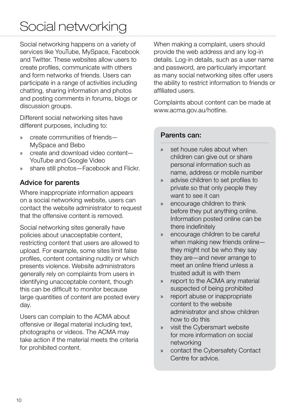### Social networking

Social networking happens on a variety of services like YouTube, MySpace, Facebook and Twitter. These websites allow users to create profiles, communicate with others and form networks of friends. Users can participate in a range of activities including chatting, sharing information and photos and posting comments in forums, blogs or discussion groups.

Different social networking sites have different purposes, including to:

- » create communities of friends— MySpace and Bebo
- » create and download video content— YouTube and Google Video
- » share still photos—Facebook and Flickr.

#### Advice for parents

Where inappropriate information appears on a social networking website, users can contact the website administrator to request that the offensive content is removed.

Social networking sites generally have policies about unacceptable content, restricting content that users are allowed to upload. For example, some sites limit false profiles, content containing nudity or which presents violence. Website administrators generally rely on complaints from users in identifying unacceptable content, though this can be difficult to monitor because large quantities of content are posted every day.

Users can complain to the ACMA about offensive or illegal material including text, photographs or videos. The ACMA may take action if the material meets the criteria for prohibited content.

When making a complaint, users should provide the web address and any log-in details. Log-in details, such as a user name and password, are particularly important as many social networking sites offer users the ability to restrict information to friends or affiliated users.

Complaints about content can be made at www.acma.gov.au/hotline.

- set house rules about when children can give out or share personal information such as name, address or mobile number
- » advise children to set profiles to private so that only people they want to see it can
- encourage children to think before they put anything online. Information posted online can be there indefinitely
- » encourage children to be careful when making new friends online they might not be who they say they are—and never arrange to meet an online friend unless a trusted adult is with them
- » report to the ACMA any material suspected of being prohibited
- report abuse or inappropriate content to the website administrator and show children how to do this
- » visit the Cybersmart website for more information on social networking
- » contact the Cybersafety Contact Centre for advice.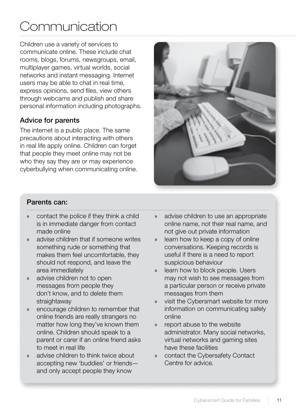### Communication

Children use a variety of services to communicate online. These include chat rooms, blogs, forums, newsgroups, email, multiplayer games, virtual worlds, social networks and instant messaging. Internet users may be able to chat in real time, express opinions, send files, view others through webcams and publish and share personal information including photographs.

#### Advice for parents

The internet is a public place. The same precautions about interacting with others in real life apply online. Children can forget that people they meet online may not be who they say they are or may experience cyberbullying when communicating online.



- » contact the police if they think a child is in immediate danger from contact made online
- » advise children that if someone writes something rude or something that makes them feel uncomfortable, they should not respond, and leave the area immediately
- » advise children not to open messages from people they don't know, and to delete them straightaway
- » encourage children to remember that online friends are really strangers no matter how long they've known them online. Children should speak to a parent or carer if an online friend asks to meet in real life
- » advise children to think twice about accepting new 'buddies' or friends and only accept people they know
- » advise children to use an appropriate online name, not their real name, and not give out private information
- » learn how to keep a copy of online conversations. Keeping records is useful if there is a need to report suspicious behaviour
- » learn how to block people. Users may not wish to see messages from a particular person or receive private messages from them
- » visit the Cybersmart website for more information on communicating safely online
- » report abuse to the website administrator. Many social networks, virtual networks and gaming sites have these facilities
- » contact the Cybersafety Contact Centre for advice.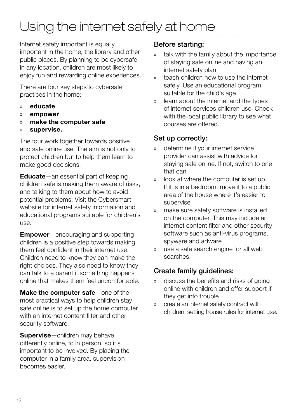### Using the internet safely at home

Internet safety important is equally important in the home, the library and other public places. By planning to be cybersafe in any location, children are most likely to enjoy fun and rewarding online experiences.

There are four key steps to cybersafe practices in the home:

- » educate
- » empower
- » make the computer safe
- » supervise.

The four work together towards positive and safe online use. The aim is not only to protect children but to help them learn to make good decisions.

Educate—an essential part of keeping children safe is making them aware of risks, and talking to them about how to avoid potential problems. Visit the Cybersmart website for internet safety information and educational programs suitable for children's use.

Empower—encouraging and supporting children is a positive step towards making them feel confident in their internet use. Children need to know they can make the right choices. They also need to know they can talk to a parent if something happens online that makes them feel uncomfortable.

Make the computer safe—one of the most practical ways to help children stay safe online is to set up the home computer with an internet content filter and other security software.

Supervise-children may behave differently online, to in person, so it's important to be involved. By placing the computer in a family area, supervision becomes easier.

#### Before starting:

- talk with the family about the importance of staying safe online and having an internet safety plan
- » teach children how to use the internet safely. Use an educational program suitable for the child's age
- » learn about the internet and the types of internet services children use. Check with the local public library to see what courses are offered.

#### Set up correctly:

- » determine if your internet service provider can assist with advice for staying safe online. If not, switch to one that can
- » look at where the computer is set up. If it is in a bedroom, move it to a public area of the house where it's easier to supervise
- » make sure safety software is installed on the computer. This may include an internet content filter and other security software such as anti-virus programs, spyware and adware
- » use a safe search engine for all web searches.

#### Create family guidelines:

- » discuss the benefits and risks of going online with children and offer support if they get into trouble
- » create an internet safety contract with children, setting house rules for internet use.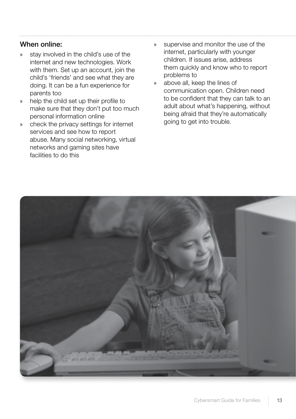#### When online:

- » stay involved in the child's use of the internet and new technologies. Work with them. Set up an account, join the child's 'friends' and see what they are doing. It can be a fun experience for parents too
- » help the child set up their profile to make sure that they don't put too much personal information online
- » check the privacy settings for internet services and see how to report abuse. Many social networking, virtual networks and gaming sites have facilities to do this
- supervise and monitor the use of the internet, particularly with younger children. If issues arise, address them quickly and know who to report problems to
- above all, keep the lines of communication open. Children need to be confident that they can talk to an adult about what's happening, without being afraid that they're automatically going to get into trouble.

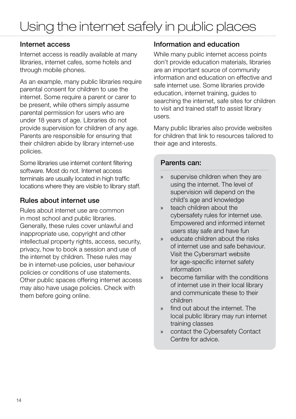#### Internet access

Internet access is readily available at many libraries, internet cafes, some hotels and through mobile phones.

As an example, many public libraries require parental consent for children to use the internet. Some require a parent or carer to be present, while others simply assume parental permission for users who are under 18 years of age. Libraries do not provide supervision for children of any age. Parents are responsible for ensuring that their children abide by library internet-use policies.

Some libraries use internet content filtering software. Most do not. Internet access terminals are usually located in high traffic locations where they are visible to library staff.

#### Rules about internet use

Rules about internet use are common in most school and public libraries. Generally, these rules cover unlawful and inappropriate use, copyright and other intellectual property rights, access, security, privacy, how to book a session and use of the internet by children. These rules may be in internet-use policies, user behaviour policies or conditions of use statements. Other public spaces offering internet access may also have usage policies. Check with them before going online.

#### Information and education

While many public internet access points don't provide education materials, libraries are an important source of community information and education on effective and safe internet use. Some libraries provide education, internet training, guides to searching the internet, safe sites for children to visit and trained staff to assist library users.

Many public libraries also provide websites for children that link to resources tailored to their age and interests.

- supervise children when they are using the internet. The level of supervision will depend on the child's age and knowledge
- » teach children about the cybersafety rules for internet use. Empowered and informed internet users stay safe and have fun
- » educate children about the risks of internet use and safe behaviour. Visit the Cybersmart website for age-specific internet safety information
- » become familiar with the conditions of internet use in their local library and communicate these to their children
- » find out about the internet. The local public library may run internet training classes
- » contact the Cybersafety Contact Centre for advice.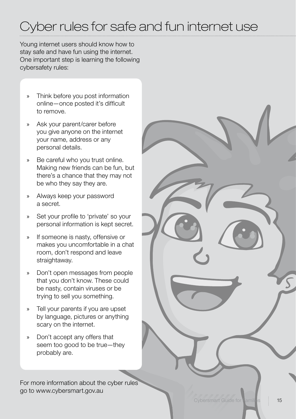### Cyber rules for safe and fun internet use

Young internet users should know how to stay safe and have fun using the internet. One important step is learning the following cybersafety rules:

- » Think before you post information online—once posted it's difficult to remove.
- Ask your parent/carer before you give anyone on the internet your name, address or any personal details.
- » Be careful who you trust online. Making new friends can be fun, but there's a chance that they may not be who they say they are.
- » Always keep your password a secret.
- » Set your profile to 'private' so your personal information is kept secret.
- » If someone is nasty, offensive or makes you uncomfortable in a chat room, don't respond and leave straightaway.
- » Don't open messages from people that you don't know. These could be nasty, contain viruses or be trying to sell you something.
- Tell your parents if you are upset by language, pictures or anything scary on the internet.
- » Don't accept any offers that seem too good to be true—they probably are.

For more information about the cyber rules go to www.cybersmart.gov.au

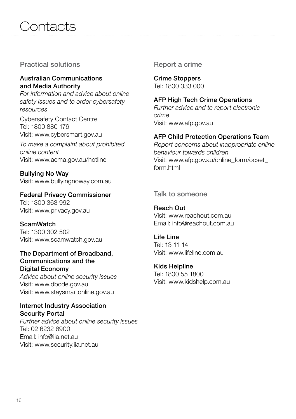### Contacts

#### Practical solutions

#### Australian Communications and Media Authority

*For information and advice about online safety issues and to order cybersafety resources*

Cybersafety Contact Centre Tel: 1800 880 176 Visit: www.cybersmart.gov.au

*To make a complaint about prohibited online content* Visit: www.acma.gov.au/hotline

Bullying No Way Visit: www.bullyingnoway.com.au

#### Federal Privacy Commissioner

Tel: 1300 363 992 Visit: www.privacy.gov.au

ScamWatch Tel: 1300 302 502 Visit: www.scamwatch.gov.au

#### The Department of Broadband, Communications and the Digital Economy

*Advice about online security issues* Visit: www.dbcde.gov.au Visit: www.staysmartonline.gov.au

#### Internet Industry Association Security Portal

*Further advice about online security issues* Tel: 02 6232 6900 Email: info@iia.net.au Visit: www.security.iia.net.au

Report a crime

Crime Stoppers Tel: 1800 333 000

#### AFP High Tech Crime Operations

*Further advice and to report electronic crime* Visit: www.afp.gov.au

#### AFP Child Protection Operations Team

*Report concerns about inappropriate online behaviour towards children* Visit: www.afp.gov.au/online\_form/ocset\_ form.html

Talk to someone

Reach Out Visit: www.reachout.com.au Email: info@reachout.com.au

Life Line Tel: 13 11 14 Visit: www.lifeline.com.au

Kids Helpline Tel: 1800 55 1800 Visit: www.kidshelp.com.au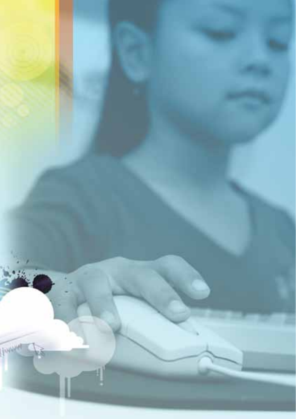